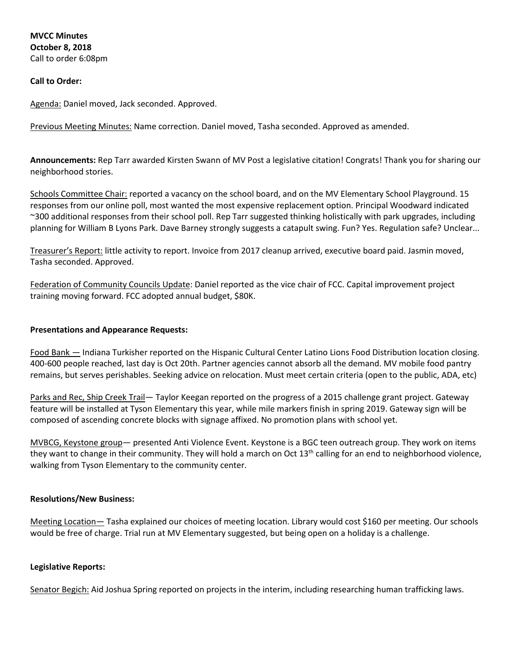# **Call to Order:**

Agenda: Daniel moved, Jack seconded. Approved.

Previous Meeting Minutes: Name correction. Daniel moved, Tasha seconded. Approved as amended.

**Announcements:** Rep Tarr awarded Kirsten Swann of MV Post a legislative citation! Congrats! Thank you for sharing our neighborhood stories.

Schools Committee Chair: reported a vacancy on the school board, and on the MV Elementary School Playground. 15 responses from our online poll, most wanted the most expensive replacement option. Principal Woodward indicated ~300 additional responses from their school poll. Rep Tarr suggested thinking holistically with park upgrades, including planning for William B Lyons Park. Dave Barney strongly suggests a catapult swing. Fun? Yes. Regulation safe? Unclear...

Treasurer's Report: little activity to report. Invoice from 2017 cleanup arrived, executive board paid. Jasmin moved, Tasha seconded. Approved.

Federation of Community Councils Update: Daniel reported as the vice chair of FCC. Capital improvement project training moving forward. FCC adopted annual budget, \$80K.

### **Presentations and Appearance Requests:**

Food Bank — Indiana Turkisher reported on the Hispanic Cultural Center Latino Lions Food Distribution location closing. 400-600 people reached, last day is Oct 20th. Partner agencies cannot absorb all the demand. MV mobile food pantry remains, but serves perishables. Seeking advice on relocation. Must meet certain criteria (open to the public, ADA, etc)

Parks and Rec, Ship Creek Trail— Taylor Keegan reported on the progress of a 2015 challenge grant project. Gateway feature will be installed at Tyson Elementary this year, while mile markers finish in spring 2019. Gateway sign will be composed of ascending concrete blocks with signage affixed. No promotion plans with school yet.

MVBCG, Keystone group— presented Anti Violence Event. Keystone is a BGC teen outreach group. They work on items they want to change in their community. They will hold a march on Oct 13<sup>th</sup> calling for an end to neighborhood violence, walking from Tyson Elementary to the community center.

#### **Resolutions/New Business:**

Meeting Location— Tasha explained our choices of meeting location. Library would cost \$160 per meeting. Our schools would be free of charge. Trial run at MV Elementary suggested, but being open on a holiday is a challenge.

#### **Legislative Reports:**

Senator Begich: Aid Joshua Spring reported on projects in the interim, including researching human trafficking laws.